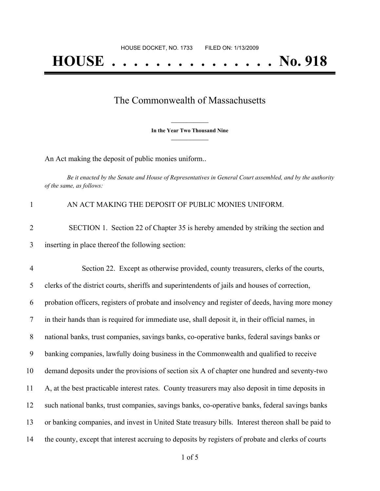## The Commonwealth of Massachusetts

**\_\_\_\_\_\_\_\_\_\_\_\_\_\_\_ In the Year Two Thousand Nine \_\_\_\_\_\_\_\_\_\_\_\_\_\_\_**

An Act making the deposit of public monies uniform..

Be it enacted by the Senate and House of Representatives in General Court assembled, and by the authority *of the same, as follows:*

| $\mathbf{1}$   | AN ACT MAKING THE DEPOSIT OF PUBLIC MONIES UNIFORM.                                                |
|----------------|----------------------------------------------------------------------------------------------------|
| $\overline{2}$ | SECTION 1. Section 22 of Chapter 35 is hereby amended by striking the section and                  |
| 3              | inserting in place thereof the following section:                                                  |
| $\overline{4}$ | Section 22. Except as otherwise provided, county treasurers, clerks of the courts,                 |
| 5              | clerks of the district courts, sheriffs and superintendents of jails and houses of correction,     |
| 6              | probation officers, registers of probate and insolvency and register of deeds, having more money   |
| 7              | in their hands than is required for immediate use, shall deposit it, in their official names, in   |
| 8              | national banks, trust companies, savings banks, co-operative banks, federal savings banks or       |
| 9              | banking companies, lawfully doing business in the Commonwealth and qualified to receive            |
| 10             | demand deposits under the provisions of section six A of chapter one hundred and seventy-two       |
| 11             | A, at the best practicable interest rates. County treasurers may also deposit in time deposits in  |
| 12             | such national banks, trust companies, savings banks, co-operative banks, federal savings banks     |
| 13             | or banking companies, and invest in United State treasury bills. Interest thereon shall be paid to |
| 14             | the county, except that interest accruing to deposits by registers of probate and clerks of courts |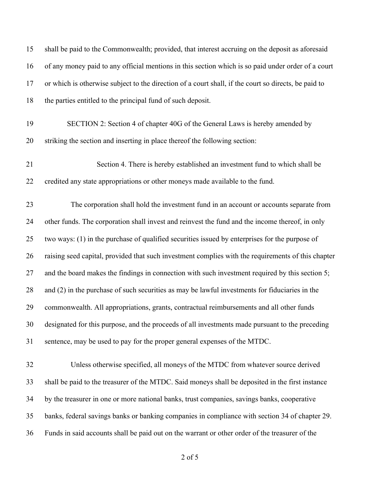| 15 | shall be paid to the Commonwealth; provided, that interest accruing on the deposit as aforesaid      |
|----|------------------------------------------------------------------------------------------------------|
| 16 | of any money paid to any official mentions in this section which is so paid under order of a court   |
| 17 | or which is otherwise subject to the direction of a court shall, if the court so directs, be paid to |
| 18 | the parties entitled to the principal fund of such deposit.                                          |
| 19 | SECTION 2: Section 4 of chapter 40G of the General Laws is hereby amended by                         |
| 20 | striking the section and inserting in place thereof the following section:                           |
| 21 | Section 4. There is hereby established an investment fund to which shall be                          |
| 22 | credited any state appropriations or other moneys made available to the fund.                        |
| 23 | The corporation shall hold the investment fund in an account or accounts separate from               |
| 24 | other funds. The corporation shall invest and reinvest the fund and the income thereof, in only      |
| 25 | two ways: (1) in the purchase of qualified securities issued by enterprises for the purpose of       |
| 26 | raising seed capital, provided that such investment complies with the requirements of this chapter   |
| 27 | and the board makes the findings in connection with such investment required by this section 5;      |
| 28 | and (2) in the purchase of such securities as may be lawful investments for fiduciaries in the       |
| 29 | commonwealth. All appropriations, grants, contractual reimbursements and all other funds             |
| 30 | designated for this purpose, and the proceeds of all investments made pursuant to the preceding      |
| 31 | sentence, may be used to pay for the proper general expenses of the MTDC.                            |
| 32 | Unless otherwise specified, all moneys of the MTDC from whatever source derived                      |
| 33 | shall be paid to the treasurer of the MTDC. Said moneys shall be deposited in the first instance     |
| 34 | by the treasurer in one or more national banks, trust companies, savings banks, cooperative          |
| 35 | banks, federal savings banks or banking companies in compliance with section 34 of chapter 29.       |
| 36 | Funds in said accounts shall be paid out on the warrant or other order of the treasurer of the       |

of 5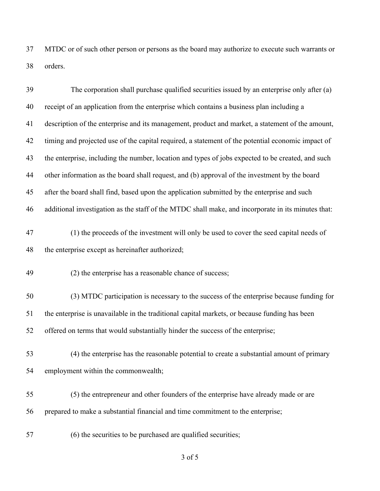MTDC or of such other person or persons as the board may authorize to execute such warrants or orders.

| 39 | The corporation shall purchase qualified securities issued by an enterprise only after (a)         |
|----|----------------------------------------------------------------------------------------------------|
| 40 | receipt of an application from the enterprise which contains a business plan including a           |
| 41 | description of the enterprise and its management, product and market, a statement of the amount,   |
| 42 | timing and projected use of the capital required, a statement of the potential economic impact of  |
| 43 | the enterprise, including the number, location and types of jobs expected to be created, and such  |
| 44 | other information as the board shall request, and (b) approval of the investment by the board      |
| 45 | after the board shall find, based upon the application submitted by the enterprise and such        |
| 46 | additional investigation as the staff of the MTDC shall make, and incorporate in its minutes that: |
| 47 | (1) the proceeds of the investment will only be used to cover the seed capital needs of            |
| 48 | the enterprise except as hereinafter authorized;                                                   |
| 49 | (2) the enterprise has a reasonable chance of success;                                             |
| 50 | (3) MTDC participation is necessary to the success of the enterprise because funding for           |
| 51 | the enterprise is unavailable in the traditional capital markets, or because funding has been      |
| 52 | offered on terms that would substantially hinder the success of the enterprise;                    |
| 53 | (4) the enterprise has the reasonable potential to create a substantial amount of primary          |
| 54 | employment within the commonwealth;                                                                |
| 55 | (5) the entrepreneur and other founders of the enterprise have already made or are                 |
| 56 | prepared to make a substantial financial and time commitment to the enterprise;                    |
| 57 | (6) the securities to be purchased are qualified securities;                                       |

of 5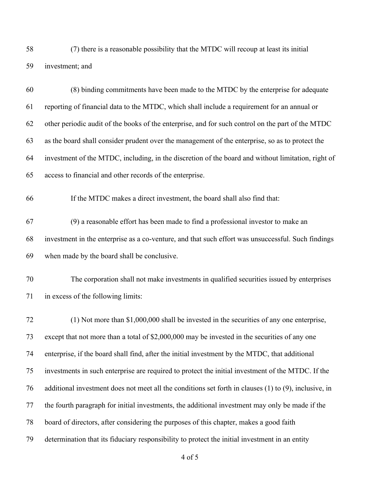(7) there is a reasonable possibility that the MTDC will recoup at least its initial investment; and

| 60 | (8) binding commitments have been made to the MTDC by the enterprise for adequate                     |
|----|-------------------------------------------------------------------------------------------------------|
| 61 | reporting of financial data to the MTDC, which shall include a requirement for an annual or           |
| 62 | other periodic audit of the books of the enterprise, and for such control on the part of the MTDC     |
| 63 | as the board shall consider prudent over the management of the enterprise, so as to protect the       |
| 64 | investment of the MTDC, including, in the discretion of the board and without limitation, right of    |
| 65 | access to financial and other records of the enterprise.                                              |
| 66 | If the MTDC makes a direct investment, the board shall also find that:                                |
| 67 | (9) a reasonable effort has been made to find a professional investor to make an                      |
| 68 | investment in the enterprise as a co-venture, and that such effort was unsuccessful. Such findings    |
| 69 | when made by the board shall be conclusive.                                                           |
| 70 | The corporation shall not make investments in qualified securities issued by enterprises              |
| 71 | in excess of the following limits:                                                                    |
| 72 | $(1)$ Not more than \$1,000,000 shall be invested in the securities of any one enterprise,            |
| 73 | except that not more than a total of \$2,000,000 may be invested in the securities of any one         |
| 74 | enterprise, if the board shall find, after the initial investment by the MTDC, that additional        |
| 75 | investments in such enterprise are required to protect the initial investment of the MTDC. If the     |
| 76 | additional investment does not meet all the conditions set forth in clauses (1) to (9), inclusive, in |
| 77 | the fourth paragraph for initial investments, the additional investment may only be made if the       |
| 78 | board of directors, after considering the purposes of this chapter, makes a good faith                |
| 79 | determination that its fiduciary responsibility to protect the initial investment in an entity        |

of 5